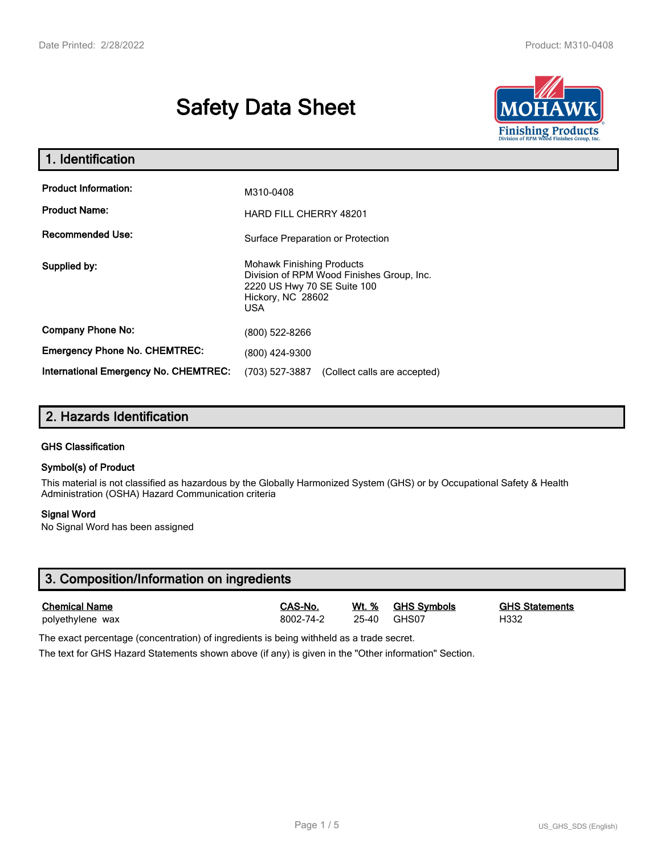# **Safety Data Sheet**



| 1. Identification                                   |                                                                                                                                                 |  |  |  |
|-----------------------------------------------------|-------------------------------------------------------------------------------------------------------------------------------------------------|--|--|--|
| <b>Product Information:</b><br><b>Product Name:</b> | M310-0408<br><b>HARD FILL CHERRY 48201</b>                                                                                                      |  |  |  |
| <b>Recommended Use:</b>                             | Surface Preparation or Protection                                                                                                               |  |  |  |
| Supplied by:                                        | <b>Mohawk Finishing Products</b><br>Division of RPM Wood Finishes Group, Inc.<br>2220 US Hwy 70 SE Suite 100<br>Hickory, NC 28602<br><b>USA</b> |  |  |  |
| <b>Company Phone No:</b>                            | (800) 522-8266                                                                                                                                  |  |  |  |
| <b>Emergency Phone No. CHEMTREC:</b>                | (800) 424-9300                                                                                                                                  |  |  |  |
| <b>International Emergency No. CHEMTREC:</b>        | (703) 527-3887<br>(Collect calls are accepted)                                                                                                  |  |  |  |

# **2. Hazards Identification**

#### **GHS Classification**

#### **Symbol(s) of Product**

This material is not classified as hazardous by the Globally Harmonized System (GHS) or by Occupational Safety & Health Administration (OSHA) Hazard Communication criteria

#### **Signal Word**

No Signal Word has been assigned

| 3. Composition/Information on ingredients |           |         |             |                       |  |
|-------------------------------------------|-----------|---------|-------------|-----------------------|--|
| <b>Chemical Name</b>                      | CAS-No.   | Wt. %   | GHS Symbols | <b>GHS Statements</b> |  |
| polyethylene wax                          | 8002-74-2 | $25-40$ | GHS07       | H332                  |  |

The exact percentage (concentration) of ingredients is being withheld as a trade secret.

The text for GHS Hazard Statements shown above (if any) is given in the "Other information" Section.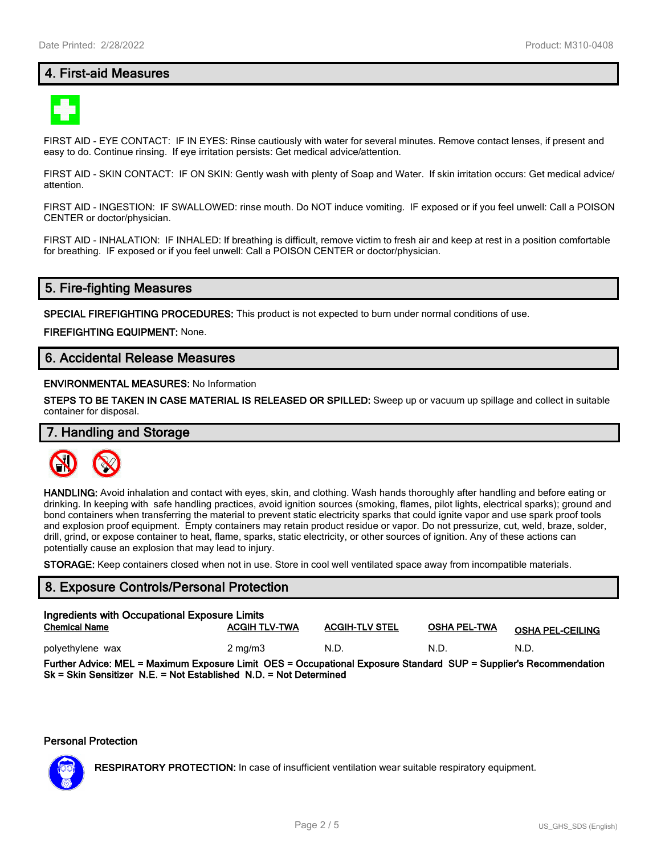# **4. First-aid Measures**



FIRST AID - EYE CONTACT: IF IN EYES: Rinse cautiously with water for several minutes. Remove contact lenses, if present and easy to do. Continue rinsing. If eye irritation persists: Get medical advice/attention.

FIRST AID - SKIN CONTACT: IF ON SKIN: Gently wash with plenty of Soap and Water. If skin irritation occurs: Get medical advice/ attention.

FIRST AID - INGESTION: IF SWALLOWED: rinse mouth. Do NOT induce vomiting. IF exposed or if you feel unwell: Call a POISON CENTER or doctor/physician.

FIRST AID - INHALATION: IF INHALED: If breathing is difficult, remove victim to fresh air and keep at rest in a position comfortable for breathing. IF exposed or if you feel unwell: Call a POISON CENTER or doctor/physician.

# **5. Fire-fighting Measures**

**SPECIAL FIREFIGHTING PROCEDURES:** This product is not expected to burn under normal conditions of use.

**FIREFIGHTING EQUIPMENT:** None.

# **6. Accidental Release Measures**

#### **ENVIRONMENTAL MEASURES:** No Information

**STEPS TO BE TAKEN IN CASE MATERIAL IS RELEASED OR SPILLED:** Sweep up or vacuum up spillage and collect in suitable container for disposal.

# **7. Handling and Storage**



**HANDLING:** Avoid inhalation and contact with eyes, skin, and clothing. Wash hands thoroughly after handling and before eating or drinking. In keeping with safe handling practices, avoid ignition sources (smoking, flames, pilot lights, electrical sparks); ground and bond containers when transferring the material to prevent static electricity sparks that could ignite vapor and use spark proof tools and explosion proof equipment. Empty containers may retain product residue or vapor. Do not pressurize, cut, weld, braze, solder, drill, grind, or expose container to heat, flame, sparks, static electricity, or other sources of ignition. Any of these actions can potentially cause an explosion that may lead to injury.

**STORAGE:** Keep containers closed when not in use. Store in cool well ventilated space away from incompatible materials.

#### **8. Exposure Controls/Personal Protection**

| Ingredients with Occupational Exposure Limits<br><b>Chemical Name</b>                                             | <b>ACGIH TLV-TWA</b> | <b>ACGIH-TLV STEL</b> | <b>OSHA PEL-TWA</b> | <b>OSHA PEL-CEILING</b> |  |
|-------------------------------------------------------------------------------------------------------------------|----------------------|-----------------------|---------------------|-------------------------|--|
| polyethylene wax                                                                                                  | $2 \text{ ma/m}$ 3   | N.D.                  | N.D.                | N.D.                    |  |
| Further Advice: MEL = Maximum Exposure Limit OES = Occupational Exposure Standard SUP = Supplier's Recommendation |                      |                       |                     |                         |  |

**Sk = Skin Sensitizer N.E. = Not Established N.D. = Not Determined**

#### **Personal Protection**



**RESPIRATORY PROTECTION:** In case of insufficient ventilation wear suitable respiratory equipment.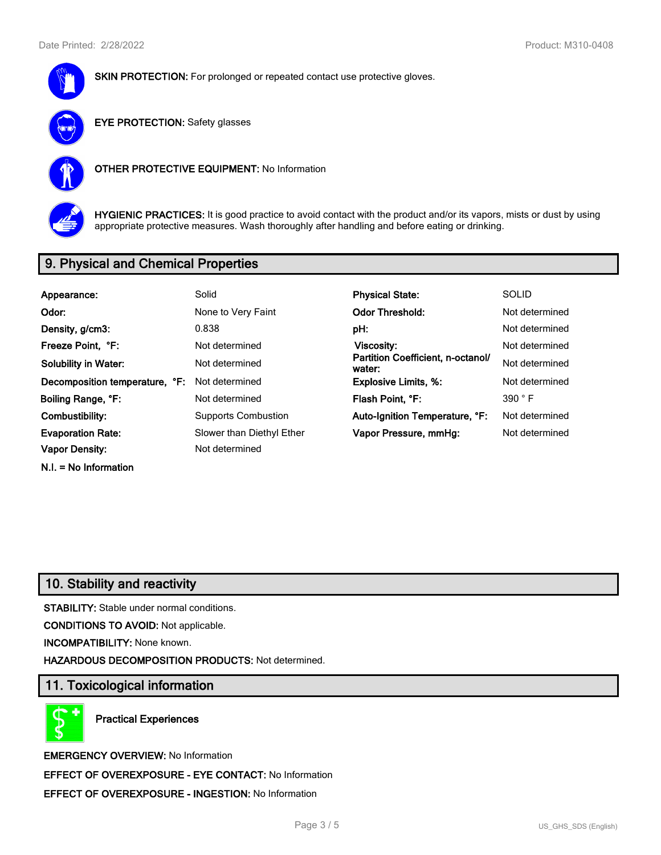

**SKIN PROTECTION:** For prolonged or repeated contact use protective gloves.



**EYE PROTECTION:** Safety glasses



**OTHER PROTECTIVE EQUIPMENT:** No Information



**HYGIENIC PRACTICES:** It is good practice to avoid contact with the product and/or its vapors, mists or dust by using appropriate protective measures. Wash thoroughly after handling and before eating or drinking.

# **9. Physical and Chemical Properties**

| Appearance:                    | Solid                      | <b>Physical State:</b>                      | <b>SOLID</b>   |
|--------------------------------|----------------------------|---------------------------------------------|----------------|
| Odor:                          | None to Very Faint         | <b>Odor Threshold:</b>                      | Not determined |
| Density, g/cm3:                | 0.838                      | pH:                                         | Not determined |
| Freeze Point, °F:              | Not determined             | Viscosity:                                  | Not determined |
| <b>Solubility in Water:</b>    | Not determined             | Partition Coefficient, n-octanol/<br>water: | Not determined |
| Decomposition temperature, °F: | Not determined             | <b>Explosive Limits, %:</b>                 | Not determined |
| Boiling Range, °F:             | Not determined             | Flash Point, °F:                            | 390 °F         |
| Combustibility:                | <b>Supports Combustion</b> | Auto-Ignition Temperature, °F:              | Not determined |
| <b>Evaporation Rate:</b>       | Slower than Diethyl Ether  | Vapor Pressure, mmHq:                       | Not determined |
| <b>Vapor Density:</b>          | Not determined             |                                             |                |
| $N.I. = No$ Information        |                            |                                             |                |

# **10. Stability and reactivity**

**STABILITY:** Stable under normal conditions.

**CONDITIONS TO AVOID:** Not applicable.

**INCOMPATIBILITY:** None known.

**HAZARDOUS DECOMPOSITION PRODUCTS:** Not determined.

# **11. Toxicological information**

**Practical Experiences**

**EMERGENCY OVERVIEW:** No Information **EFFECT OF OVEREXPOSURE - EYE CONTACT:** No Information **EFFECT OF OVEREXPOSURE - INGESTION:** No Information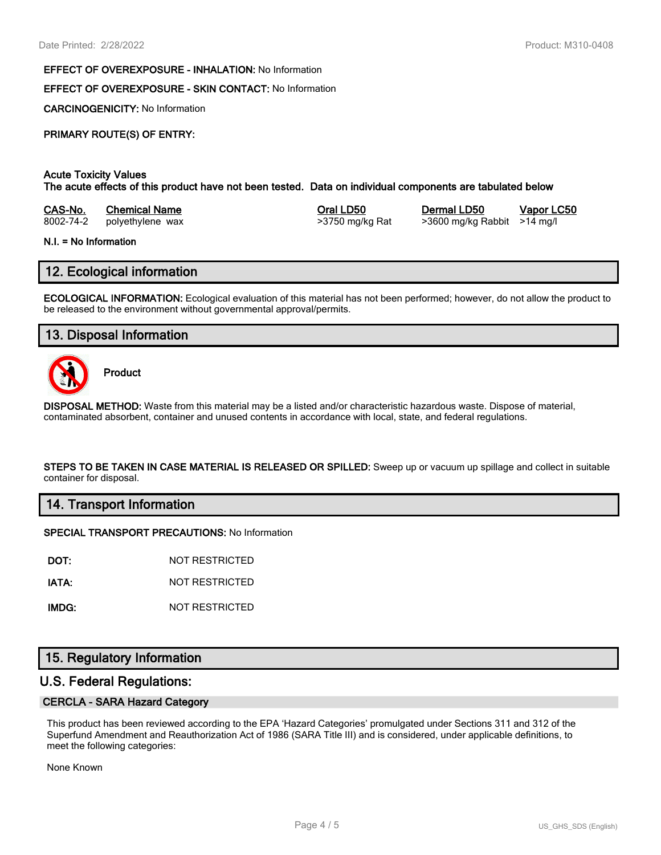#### **EFFECT OF OVEREXPOSURE - INHALATION:** No Information

#### **EFFECT OF OVEREXPOSURE - SKIN CONTACT:** No Information

**CARCINOGENICITY:** No Information

# **PRIMARY ROUTE(S) OF ENTRY:**

#### **Acute Toxicity Values**

**The acute effects of this product have not been tested. Data on individual components are tabulated below**

| CAS-No.   | <b>Chemical Name</b> |
|-----------|----------------------|
| 8002-74-2 | polvethylene wax     |

8002-74-2 polyethylene wax >3750 mg/kg Rat >3600 mg/kg Rabbit >14 mg/l

**Casa-No. 25 Co. 26 Co. 26 Co. 26 Co. 26 Co. 26 Co. 26 Vapor LC50** 

#### **N.I. = No Information**

# **12. Ecological information**

**ECOLOGICAL INFORMATION:** Ecological evaluation of this material has not been performed; however, do not allow the product to be released to the environment without governmental approval/permits.

# **13. Disposal Information**



**Product**

**DISPOSAL METHOD:** Waste from this material may be a listed and/or characteristic hazardous waste. Dispose of material, contaminated absorbent, container and unused contents in accordance with local, state, and federal regulations.

**STEPS TO BE TAKEN IN CASE MATERIAL IS RELEASED OR SPILLED:** Sweep up or vacuum up spillage and collect in suitable container for disposal.

#### **14. Transport Information**

#### **SPECIAL TRANSPORT PRECAUTIONS:** No Information

**DOT:** NOT RESTRICTED

**IATA:** NOT RESTRICTED

**IMDG:** NOT RESTRICTED

# **15. Regulatory Information**

### **U.S. Federal Regulations:**

#### **CERCLA - SARA Hazard Category**

This product has been reviewed according to the EPA 'Hazard Categories' promulgated under Sections 311 and 312 of the Superfund Amendment and Reauthorization Act of 1986 (SARA Title III) and is considered, under applicable definitions, to meet the following categories:

None Known